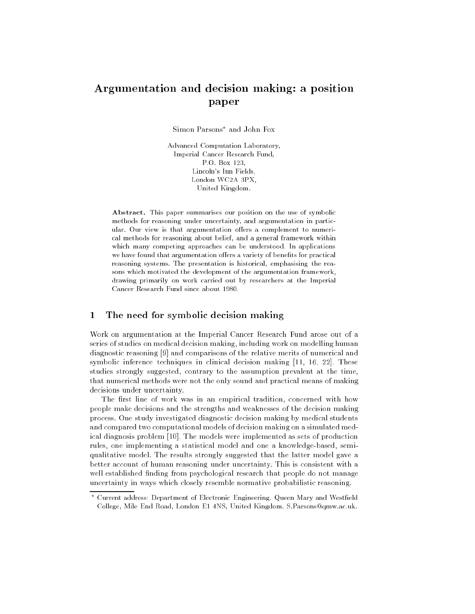# Argumentation and decision making: a position paper

Simon Parsons? and John Fox

Advanced Computation Laboratory, Imperial Cancer Research Fund, P.O. Box 123, Lincoln's Inn Fields, London WC2A 3PX, United Kingdom.

Abstract. This paper summarises our position on the use of symbolic methods for reasoning under uncertainty, and argumentation in particular. Our view is that argumentation offers a complement to numerical methods for reasoning about belief, and a general framework within which many competing approaches can be understood. In applications we have found that argumentation offers a variety of benefits for practical reasoning systems. The presentation is historical, emphasising the reasons which motivated the development of the argumentation framework, drawing primarily on work carried out by researchers at the Imperial Cancer Research Fund since about 1980.

# 1 The need for symbolic decision making

Work on argumentation at the Imperial Cancer Research Fund arose out of a series of studies on medical decision making, including work on modelling human diagnostic reasoning [9] and comparisons of the relative merits of numerical and symbolic inference techniques in clinical decision making [11, 16, 22]. These studies strongly suggested, contrary to the assumption prevalent at the time, that numerical methods were not the only sound and practical means of making decisions under uncertainty.

The first line of work was in an empirical tradition, concerned with how people make decisions and the strengths and weaknesses of the decision making process. One study investigated diagnostic decision making by medical students and compared two computational models of decision making on a simulated medical diagnosis problem [10]. The models were implemented as sets of production rules, one implementing a statistical model and one a knowledge-based, semiqualitative model. The results strongly suggested that the latter model gave a better account of human reasoning under uncertainty. This is consistent with a well established finding from psychological research that people do not manage uncertainty in ways which closely resemble normative probabilistic reasoning.

Current address: Department of Electronic Engineering, Queen Mary and Westeld College, Mile End Road, London E1 4NS, United Kingdom. S.Parsons@qmw.ac.uk.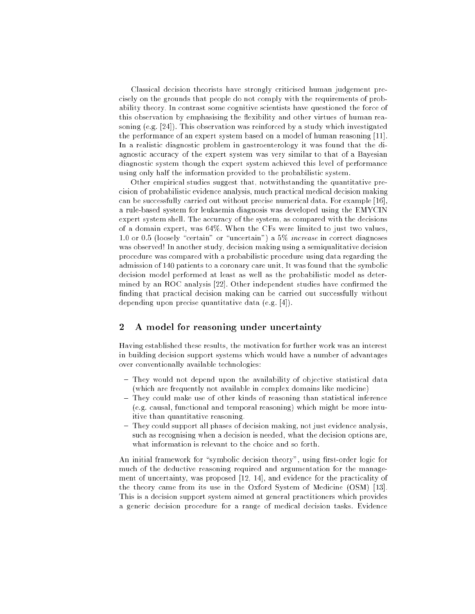Classical decision theorists have strongly criticised human judgement precisely on the grounds that people do not comply with the requirements of probability theory. In contrast some cognitive scientists have questioned the force of this observation by emphasising the flexibility and other virtues of human reasoning (e.g. [24]). This observation was reinforced by a study which investigated the performance of an expert system based on a model of human reasoning [11]. In a realistic diagnostic problem in gastroenterology it was found that the diagnostic accuracy of the expert system was very similar to that of a Bayesian diagnostic system though the expert system achieved this level of performance using only half the information provided to the probabilistic system.

Other empirical studies suggest that, notwithstanding the quantitative precision of probabilistic evidence analysis, much practical medical decision making can be successfully carried out without precise numerical data. For example [16], a rule-based system for leukaemia diagnosis was developed using the EMYCIN expert system shell. The accuracy of the system, as compared with the decisions of a domain expert, was 64%. When the CFs were limited to just two values, 1.0 or 0.5 (loosely "certain" or "uncertain") a 5% increase in correct diagnoses was observed! In another study, decision making using a semiqualitative decision procedure was compared with a probabilistic procedure using data regarding the admission of 140 patients to a coronary care unit. It was found that the symbolic decision model performed at least as well as the probabilistic model as determined by an ROC analysis [22]. Other independent studies have confirmed the nding that practical decision making can be carried out successfully without depending upon precise quantitative data (e.g. [4]).

#### $\boldsymbol{2}$ 2 A model for reasoning under uncertainty

Having established these results, the motivation for further work was an interest in building decision support systems which would have a number of advantages over conventionally available technologies:

- They would not depend upon the availability of objective statistical data (which are frequently not available in complex domains like medicine)
- They could make use of other kinds of reasoning than statistical inference (e.g. causal, functional and temporal reasoning) which might be more intuitive than quantitative reasoning.
- { They could support all phases of decision making, not just evidence analysis, such as recognising when a decision is needed, what the decision options are, what information is relevant to the choice and so forth.

An initial framework for "symbolic decision theory", using first-order logic for much of the deductive reasoning required and argumentation for the management of uncertainty, was proposed [12, 14], and evidence for the practicality of the theory came from its use in the Oxford System of Medicine (OSM) [13]. This is a decision support system aimed at general practitioners which provides a generic decision procedure for a range of medical decision tasks. Evidence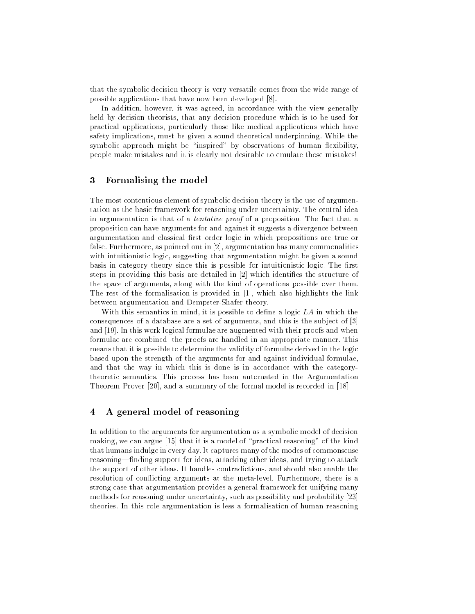that the symbolic decision theory is very versatile comes from the wide range of possible applications that have now been developed [8].

In addition, however, it was agreed, in accordance with the view generally held by decision theorists, that any decision procedure which is to be used for practical applications, particularly those like medical applications which have safety implications, must be given a sound theoretical underpinning. While the symbolic approach might be "inspired" by observations of human flexibility, people make mistakes and it is clearly not desirable to emulate those mistakes!

### 3 Formalising the model

The most contentious element of symbolic decision theory is the use of argumentation as the basic framework for reasoning under uncertainty. The central idea in argumentation is that of a tentative proof of a proposition. The fact that a proposition can have arguments for and against it suggests a divergence between argumentation and classical first order logic in which propositions are true or false. Furthermore, as pointed out in [2], argumentation has many commonalities with intuitionistic logic, suggesting that argumentation might be given a sound basis in category theory since this is possible for intuitionistic logic. The first steps in providing this basis are detailed in [2] which identifies the structure of the space of arguments, along with the kind of operations possible over them. The rest of the formalisation is provided in [1], which also highlights the link between argumentation and Dempster-Shafer theory.

With this semantics in mind, it is possible to define a logic  $LA$  in which the consequences of a database are a set of arguments, and this is the subject of [3] and [19]. In this work logical formulae are augmented with their proofs and when formulae are combined, the proofs are handled in an appropriate manner. This means that it is possible to determine the validity of formulae derived in the logic based upon the strength of the arguments for and against individual formulae, and that the way in which this is done is in accordance with the categorytheoretic semantics. This process has been automated in the Argumentation Theorem Prover [20], and a summary of the formal model is recorded in [18].

# 4 A general model of reasoning

In addition to the arguments for argumentation as a symbolic model of decision making, we can argue [15] that it is a model of "practical reasoning" of the kind that humans indulge in every day. It captures many of the modes of commonsense reasoning—finding support for ideas, attacking other ideas, and trying to attack the support of other ideas. It handles contradictions, and should also enable the resolution of conflicting arguments at the meta-level. Furthermore, there is a strong case that argumentation provides a general framework for unifying many methods for reasoning under uncertainty, such as possibility and probability [23] theories. In this role argumentation is less a formalisation of human reasoning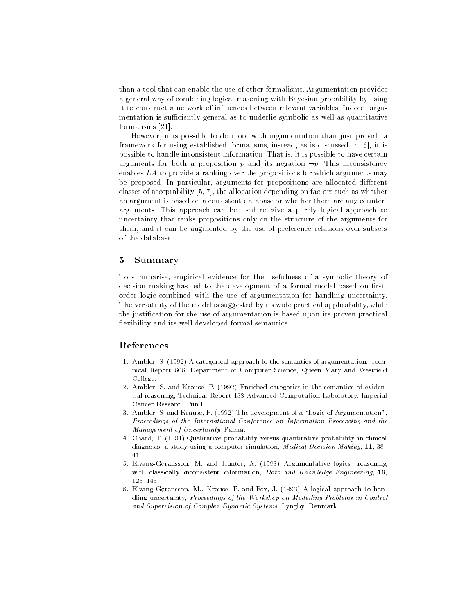than a tool that can enable the use of other formalisms. Argumentation provides a general way of combining logical reasoning with Bayesian probability by using it to construct a network of in
uences between relevant variables. Indeed, argumentation is sufficiently general as to underlie symbolic as well as quantitative formalisms [21].

However, it is possible to do more with argumentation than just provide a framework for using established formalisms, instead, as is discussed in [6], it is possible to handle inconsistent information. That is, it is possible to have certain arguments for both a proposition p and its negation  $-p$ . This inconsistency enables LA to provide a ranking over the propositions for which arguments may be proposed. In particular, arguments for propositions are allocated different classes of acceptability [5, 7], the allocation depending on factors such as whether an argument is based on a consistent database or whether there are any counterarguments. This approach can be used to give a purely logical approach to uncertainty that ranks propositions only on the structure of the arguments for them, and it can be augmented by the use of preference relations over subsets of the database.

#### **Summary** 5

To summarise, empirical evidence for the usefulness of a symbolic theory of decision making has led to the development of a formal model based on firstorder logic combined with the use of argumentation for handling uncertainty. The versatility of the model is suggested by its wide practical applicability, while the justication for the use of argumentation is based upon its proven practical flexibility and its well-developed formal semantics.

### References

- 1. Ambler, S. (1992) A categorical approach to the semantics of argumentation, Technical Report 606, Department of Computer Science, Queen Mary and Westfield College.
- 2. Ambler, S. and Krause, P. (1992) Enriched categories in the semantics of evidential reasoning, Technical Report 153 Advanced Computation Laboratory, Imperial Cancer Research Fund.
- 3. Ambler, S. and Krause, P. (1992) The development of a "Logic of Argumentation", Proceedings of the International Conference on Information Processing and the Management of Uncertainty, Palma.
- 4. Chard, T. (1991) Qualitative probability versus quantitative probability in clinical diagnosis: a study using a computer simulation, Medical Decision Making, 11, 38-41.
- 5. Elvang-Gøransson, M. and Hunter, A. (1993) Argumentative logics—reasoning with classically inconsistent information, Data and Knowledge Engineering, 16,  $125 - 145$
- 6. Elvang-Gransson, M., Krause, P. and Fox, J. (1993) A logical approach to handling uncertainty, Proceedings of the Workshop on Modelling Problems in Control and Supervision of Complex Dynamic Systems, Lyngby, Denmark.